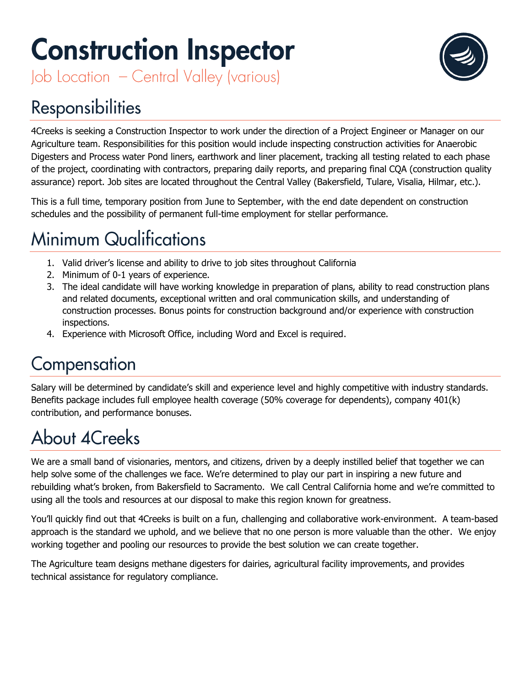# **Construction Inspector**

Job Location - Central Valley (various)

## **Responsibilities**

4Creeks is seeking a Construction Inspector to work under the direction of a Project Engineer or Manager on our Agriculture team. Responsibilities for this position would include inspecting construction activities for Anaerobic Digesters and Process water Pond liners, earthwork and liner placement, tracking all testing related to each phase of the project, coordinating with contractors, preparing daily reports, and preparing final CQA (construction quality assurance) report. Job sites are located throughout the Central Valley (Bakersfield, Tulare, Visalia, Hilmar, etc.).

This is a full time, temporary position from June to September, with the end date dependent on construction schedules and the possibility of permanent full-time employment for stellar performance.

# **Minimum Qualifications**

- 1. Valid driver's license and ability to drive to job sites throughout California
- 2. Minimum of 0-1 years of experience.
- 3. The ideal candidate will have working knowledge in preparation of plans, ability to read construction plans and related documents, exceptional written and oral communication skills, and understanding of construction processes. Bonus points for construction background and/or experience with construction inspections.
- 4. Experience with Microsoft Office, including Word and Excel is required.

#### Compensation

Salary will be determined by candidate's skill and experience level and highly competitive with industry standards. Benefits package includes full employee health coverage (50% coverage for dependents), company 401(k) contribution, and performance bonuses.

## **About 4Creeks**

We are a small band of visionaries, mentors, and citizens, driven by a deeply instilled belief that together we can help solve some of the challenges we face. We're determined to play our part in inspiring a new future and rebuilding what's broken, from Bakersfield to Sacramento. We call Central California home and we're committed to using all the tools and resources at our disposal to make this region known for greatness.

You'll quickly find out that 4Creeks is built on a fun, challenging and collaborative work-environment. A team-based approach is the standard we uphold, and we believe that no one person is more valuable than the other. We enjoy working together and pooling our resources to provide the best solution we can create together.

The Agriculture team designs methane digesters for dairies, agricultural facility improvements, and provides technical assistance for regulatory compliance.